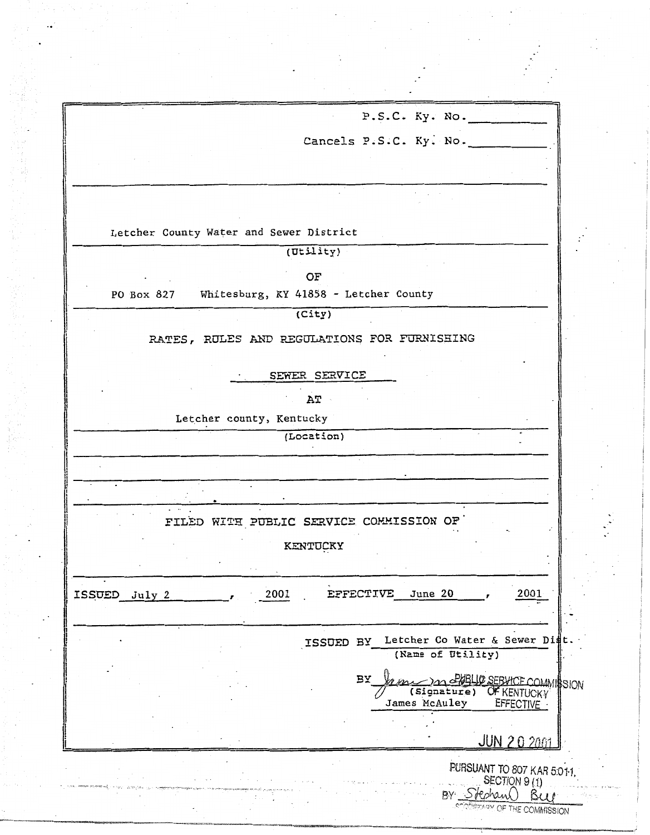|               | P.S.C. Ky. No.                                           |
|---------------|----------------------------------------------------------|
|               | Cancels P.S.C. Ky. No.                                   |
|               |                                                          |
|               |                                                          |
|               |                                                          |
|               |                                                          |
|               | Letcher County Water and Sewer District                  |
|               | (Utility)                                                |
|               | OF                                                       |
| PO Box 827    | Whitesburg, KY 41858 - Letcher County                    |
|               | (City)                                                   |
|               | RATES, RULES AND REGULATIONS FOR FURNISHING              |
|               | SEWER SERVICE                                            |
|               |                                                          |
|               | AT<br>Letcher county, Kentucky                           |
|               | (Location)                                               |
|               |                                                          |
|               |                                                          |
|               |                                                          |
|               | FILED WITH PUBLIC SERVICE COMMISSION OF                  |
|               | KENTUCKY                                                 |
|               |                                                          |
| ISSUED July 2 | 2001<br>June 20<br>EFFECTIVE<br>2001                     |
|               |                                                          |
|               | Letcher Co Water & Sewer Dist                            |
|               | ISSUED BY<br>(Name of Utility)                           |
|               | BY<br>In SPORT OF SEBUTCE COMMISSION                     |
|               | OF KENTUCKY<br>(Signature)<br>James McAuley<br>EFFECTIVE |
|               |                                                          |
|               | <b>JUN 20 2001</b>                                       |
|               | PURSUANT TO 807 KAR 5:01-1.                              |
|               | SECTION 9 (1)<br>BY Stephan                              |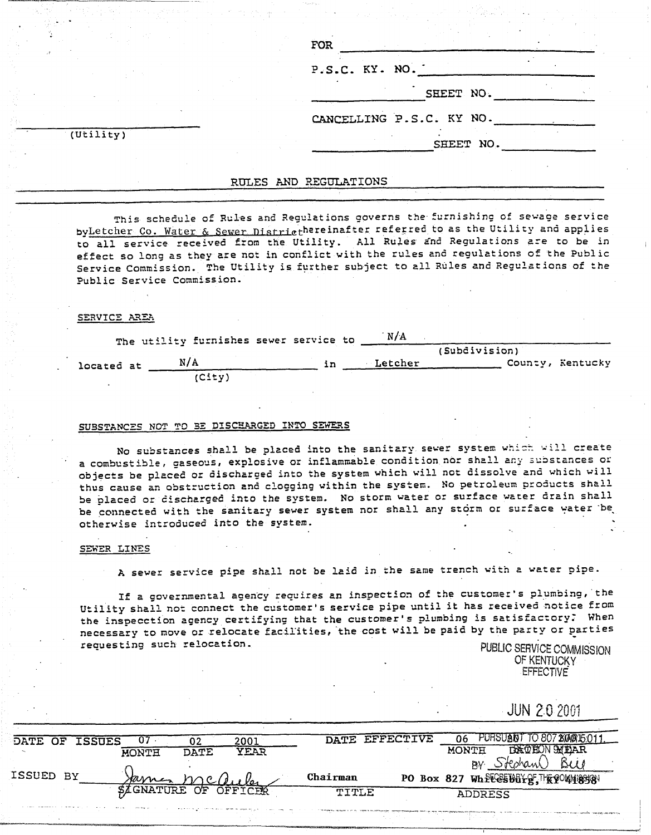|                        | FOR                      |
|------------------------|--------------------------|
|                        | P.S.C. KY. NO.           |
|                        | SHEET NO.                |
|                        | CANCELLING P.S.C. KY NO. |
| $(\overline{Utility})$ | SHEET NO.                |

#### RULES AND REGULATIONS

This schedule of Rules and Regulations governs the furnishing of sewage service byLetcher Co. Water & Sewer Districthereinafter referred to as the Utility and applies to all service received from the Utility. All Rules and Regulations are to be in effect so long as they are not in conflict with the rules and regulations of the Public Service Commission. The Utility is further subject to all Rules and Regulations of the Public Service Commission.

#### SERVICE AREA

|            | The utility furnishes sewer service to |    | N/A     |                  |  |
|------------|----------------------------------------|----|---------|------------------|--|
|            |                                        |    |         | (Subdivision)    |  |
| located at | N/A                                    | ın | Letcher | County, Kentucky |  |
|            | (City)                                 |    |         |                  |  |

### SUBSTANCES NOT TO BE DISCHARGED INTO SEWERS

No substances shall be placed into the sanitary sewer system which will create a combustible, gaseous, explosive or inflammable condition nor shall any substances or objects be placed or discharged into the system which will not dissolve and which will thus cause an obstruction and clogging within the system. No petroleum products shall be placed or discharged into the system. No storm water or surface water drain shall be connected with the sanitary sewer system nor shall any storm or surface water be otherwise introduced into the system.

#### SEWER LINES

A sewer service pipe shall not be laid in the same trench with a water pipe.

If a governmental agency requires an inspection of the customer's plumbing, the Utility shall not connect the customer's service pipe until it has received notice from the inspecction agency certifying that the customer's plumbing is satisfactory. When necessary to move or relocate facilities, the cost will be paid by the party or parties requesting such relocation.

PUBLIC SERVICE COMMISSION OF KENTUCKY **EFFECTIVE** 

|  |  | <b>JUN 2.0 2001</b> |  |
|--|--|---------------------|--|
|  |  |                     |  |

| <b>DATE</b> | OF | <b>ISSUES</b> | U7                  |      | 2001    |          | DATE EFFECTIVE | PUHSIJANI                           |
|-------------|----|---------------|---------------------|------|---------|----------|----------------|-------------------------------------|
|             |    |               | MONTH               | DATE | YEAR    |          |                | MONTH                               |
|             |    |               |                     |      |         |          |                | RV.                                 |
| ISSUED BY   |    |               | arre                |      |         | Chairman |                | PO Box 827 Wheres But g, FR POVISES |
|             |    |               | <i>I</i> GNATURE OF |      | OFFICER | TITLE    |                | <b>ADDRESS</b>                      |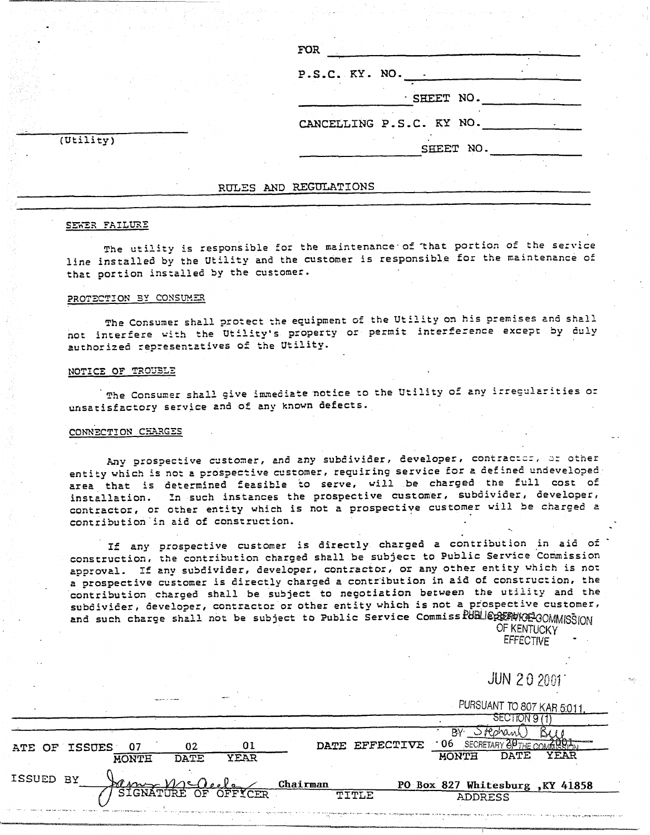| P.S.C. KY. NO. .<br>· SHEET NO.<br>CANCELLING P.S.C. KY NO. | FOR <sup>1</sup> |  |  |  |
|-------------------------------------------------------------|------------------|--|--|--|
|                                                             |                  |  |  |  |
|                                                             |                  |  |  |  |
|                                                             |                  |  |  |  |
| SHEET NO.                                                   |                  |  |  |  |

 $(\overline{Utility})$ 

#### RULES AND REGULATIONS

#### SEWER FAILURE

The utility is responsible for the maintenance of that portion of the service line installed by the Utility and the customer is responsible for the maintenance of that portion installed by the customer.

#### PROTECTION BY CONSUMER

The Consumer shall protect the equipment of the Utility on his premises and shall not interfere with the Utility's property or permit interference except by duly authorized representatives of the Utility.

#### NOTICE OF TROUBLE

The Consumer shall give immediate notice to the Utility of any irregularities or unsatisfactory service and of any known defects.

#### CONNECTION CHARGES

Any prospective customer, and any subdivider, developer, contractor, or other entity which is not a prospective customer, requiring service for a defined undeveloped area that is determined feasible to serve, will be charged the full cost of installation. In such instances the prospective customer, subdivider, developer, contractor, or other entity which is not a prospective customer will be charged a contribution in aid of construction.

If any prospective customer is directly charged a contribution in aid of construction, the contribution charged shall be subject to Public Service Commission approval. If any subdivider, developer, contractor, or any other entity which is not a prospective customer is directly charged a contribution in aid of construction, the contribution charged shall be subject to negotiation between the utility and the subdivider, developer, contractor or other entity which is not a prospective customer, and such charge shall not be subject to Public Service Commiss PUBLIERERAVICE COMMISSION

OF KENTUCKY **EFFECTIVE** 

**JUN 20 2001** PURSUANT TO 807 KAR 5:011 SECTION 9 (1) BY Stephant) K 10 06 SECRETARY OF THE COMMON DATE EFFECTIVE  $01$ ATE OF ISSUES 07 02 **HONTH** DATE YEAR **DATE YEAR MONTH** ISSUED BY <u>Chairman</u> PO Box 827 Whitesburg, KY 41858 YCER TITLE **ADDRESS**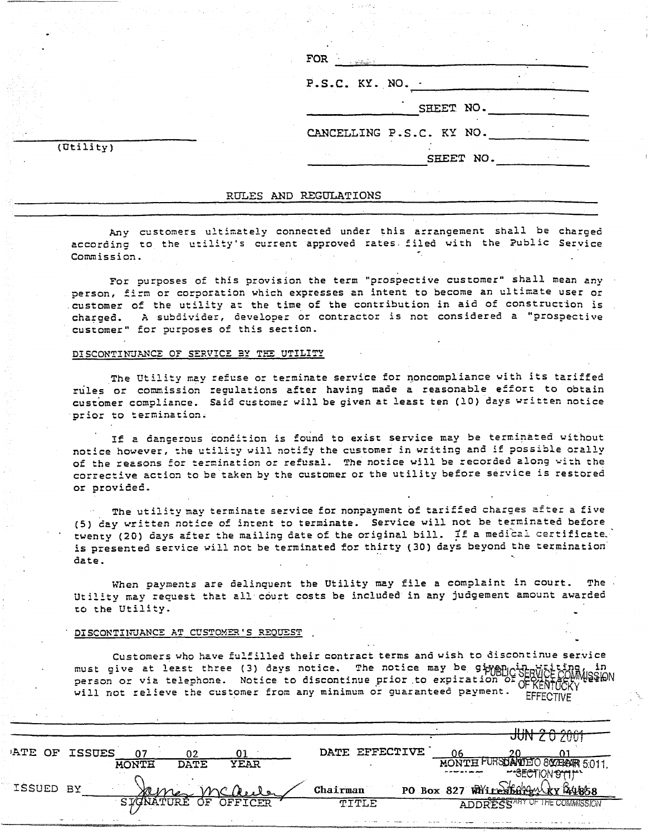| FOR<br>- Salviga)        |           |  |
|--------------------------|-----------|--|
| P.S.C. KY. NO. -         |           |  |
|                          | SHEET NO. |  |
| CANCELLING P.S.C. KY NO. |           |  |
|                          | SHEET NO. |  |

 $(\overline{Utility})$ 

#### RULES AND REGULATIONS

Any customers ultimately connected under this arrangement shall be charged according to the utility's current approved rates filed with the Public Service Commission.

For purposes of this provision the term "prospective customer" shall mean any person, firm or corporation which expresses an intent to become an ultimate user or customer of the utility at the time of the contribution in aid of construction is charged. A subdivider, developer or contractor is not considered a "prospective customer" for purposes of this section.

#### DISCONTINUANCE OF SERVICE BY THE UTILITY

The Utility may refuse or terminate service for noncompliance with its tariffed rules or commission regulations after having made a reasonable effort to obtain customer compliance. Said customer will be given at least ten (10) days written notice prior to termination.

If a dangerous condition is found to exist service may be terminated without notice however, the utility will notify the customer in writing and if possible orally of the reasons for termination or refusal. The notice will be recorded along with the corrective action to be taken by the customer or the utility before service is restored or provided.

The utility may terminate service for nonpayment of tariffed charges after a five (5) day written notice of intent to terminate. Service will not be terminated before twenty (20) days after the mailing date of the original bill. If a medical certificate. is presented service will not be terminated for thirty (30) days beyond the termination date.

When payments are delinquent the Utility may file a complaint in court. The Utility may request that all court costs be included in any judgement amount awarded to the Utility.

#### DISCONTINUANCE AT CUSTOMER'S REQUEST

Customers who have fulfilled their contract terms and wish to discontinue service must give at least three (3) days notice. The notice may be ging and the while person or via telephone. Notice to discontinue prior to expiration will not relieve the customer from any minimum or guaranteed payment. CERENTUCKY

|           |               |              |                      |      |          |                |  |       | HMLQQ                              |  |
|-----------|---------------|--------------|----------------------|------|----------|----------------|--|-------|------------------------------------|--|
|           |               |              |                      |      |          |                |  | JUNZU |                                    |  |
| ATE OF    | <b>ISSUES</b> |              | 02                   | 01   |          | DATE EFFECTIVE |  |       |                                    |  |
|           |               | <b>MONTH</b> | <b>DATE</b>          | YEAR |          |                |  |       | MONTH PURSDAVIED 800 FRAIR 5.011   |  |
|           |               |              |                      |      |          |                |  |       | -SECTION STILL                     |  |
| ISSUED BY |               |              | STONATURE OF OFFICER |      | Chairman |                |  |       | PO Box 827 White Stangy (xx 841858 |  |
|           |               |              |                      |      |          | TITLE          |  |       | ADDRESSARY OF THE COMMISSION       |  |
|           |               |              |                      |      |          |                |  |       |                                    |  |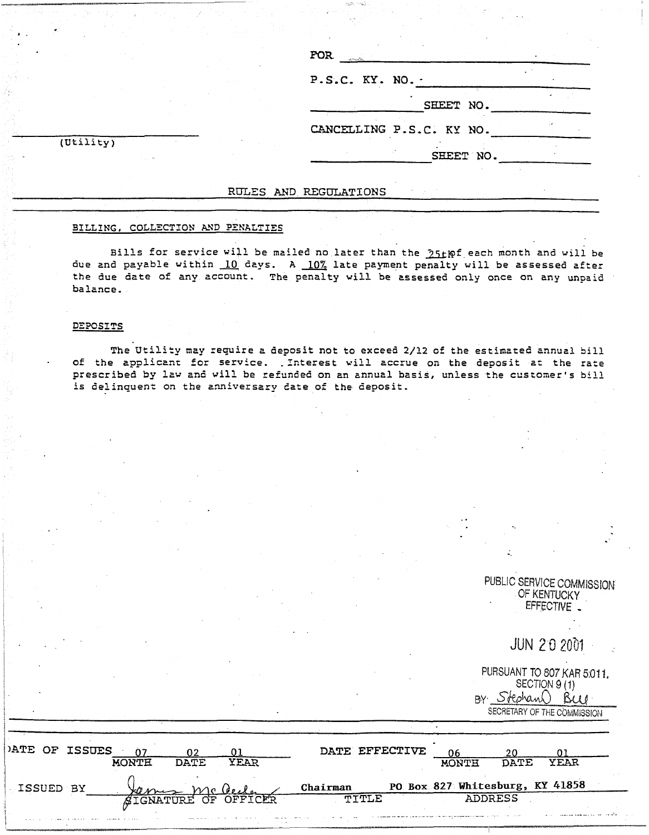|                      | $\text{FOR}$             |
|----------------------|--------------------------|
|                      | P.S.C. KY. NO. -         |
|                      | SHEET NO.                |
|                      | CANCELLING P.S.C. KY NO. |
| $(\texttt{Utility})$ | SHEET NO.                |

#### RULES AND REGULATIONS

#### BILLING, COLLECTION AND PENALTIES

Bills for service will be mailed no later than the 25thf each month and will be due and payable within 10 days. A 10% late payment penalty will be assessed after the due date of any account. The penalty will be assessed only once on any unpaid balance.

#### DEPOSITS

The Utility may require a deposit not to exceed 2/12 of the estimated annual bill of the applicant for service. Interest will accrue on the deposit at the rate prescribed by law and will be refunded on an annual basis, unless the customer's bill is delinquent on the anniversary date of the deposit.

PUBLIC SERVICE COMMISSION OF KENTUCKY EFFECTIVE

**JUN 20 2001** 

| PURSUANT TO 807 KAR 5:011.  |
|-----------------------------|
| SECTION 9(1)                |
| BY Stephand Buy             |
| SECRETARY OF THE COMMISSION |

| PATE OF ISSUES | น∩งπส | VFAD<br>חימת    |          | DATE EFFECTIVE                                                             | DATE.<br>MUNWH                  | <b>YEAR</b> |
|----------------|-------|-----------------|----------|----------------------------------------------------------------------------|---------------------------------|-------------|
| ISSUED BY      |       |                 | Chairman |                                                                            | PO Box 827 Whitesburg, KY 41858 |             |
|                |       | י הי<br>סאחדססת |          | $\overline{m}$ $\overline{T}$ $\overline{T}$ $\overline{T}$ $\overline{T}$ | <b>ADDRESS</b>                  |             |